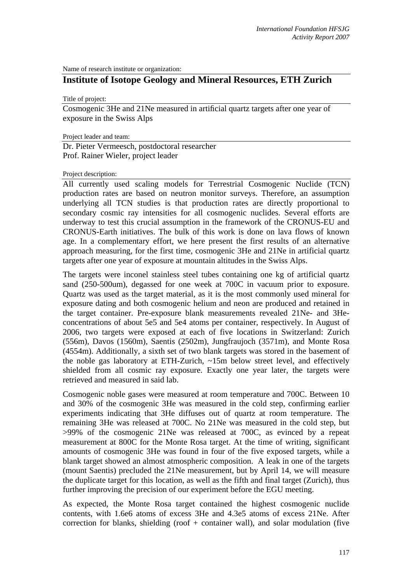Name of research institute or organization:

## **Institute of Isotope Geology and Mineral Resources, ETH Zurich**

Title of project:

Cosmogenic 3He and 21Ne measured in artificial quartz targets after one year of exposure in the Swiss Alps

Project leader and team:

Dr. Pieter Vermeesch, postdoctoral researcher Prof. Rainer Wieler, project leader

## Project description:

All currently used scaling models for Terrestrial Cosmogenic Nuclide (TCN) production rates are based on neutron monitor surveys. Therefore, an assumption underlying all TCN studies is that production rates are directly proportional to secondary cosmic ray intensities for all cosmogenic nuclides. Several efforts are underway to test this crucial assumption in the framework of the CRONUS-EU and CRONUS-Earth initiatives. The bulk of this work is done on lava flows of known age. In a complementary effort, we here present the first results of an alternative approach measuring, for the first time, cosmogenic 3He and 21Ne in artificial quartz targets after one year of exposure at mountain altitudes in the Swiss Alps.

The targets were inconel stainless steel tubes containing one kg of artificial quartz sand (250-500um), degassed for one week at 700C in vacuum prior to exposure. Quartz was used as the target material, as it is the most commonly used mineral for exposure dating and both cosmogenic helium and neon are produced and retained in the target container. Pre-exposure blank measurements revealed 21Ne- and 3Heconcentrations of about 5e5 and 5e4 atoms per container, respectively. In August of 2006, two targets were exposed at each of five locations in Switzerland: Zurich (556m), Davos (1560m), Saentis (2502m), Jungfraujoch (3571m), and Monte Rosa (4554m). Additionally, a sixth set of two blank targets was stored in the basement of the noble gas laboratory at ETH-Zurich, ~15m below street level, and effectively shielded from all cosmic ray exposure. Exactly one year later, the targets were retrieved and measured in said lab.

Cosmogenic noble gases were measured at room temperature and 700C. Between 10 and 30% of the cosmogenic 3He was measured in the cold step, confirming earlier experiments indicating that 3He diffuses out of quartz at room temperature. The remaining 3He was released at 700C. No 21Ne was measured in the cold step, but >99% of the cosmogenic 21Ne was released at 700C, as evinced by a repeat measurement at 800C for the Monte Rosa target. At the time of writing, significant amounts of cosmogenic 3He was found in four of the five exposed targets, while a blank target showed an almost atmospheric composition. A leak in one of the targets (mount Saentis) precluded the 21Ne measurement, but by April 14, we will measure the duplicate target for this location, as well as the fifth and final target (Zurich), thus further improving the precision of our experiment before the EGU meeting.

As expected, the Monte Rosa target contained the highest cosmogenic nuclide contents, with 1.6e6 atoms of excess 3He and 4.3e5 atoms of excess 21Ne. After correction for blanks, shielding (roof  $+$  container wall), and solar modulation (five